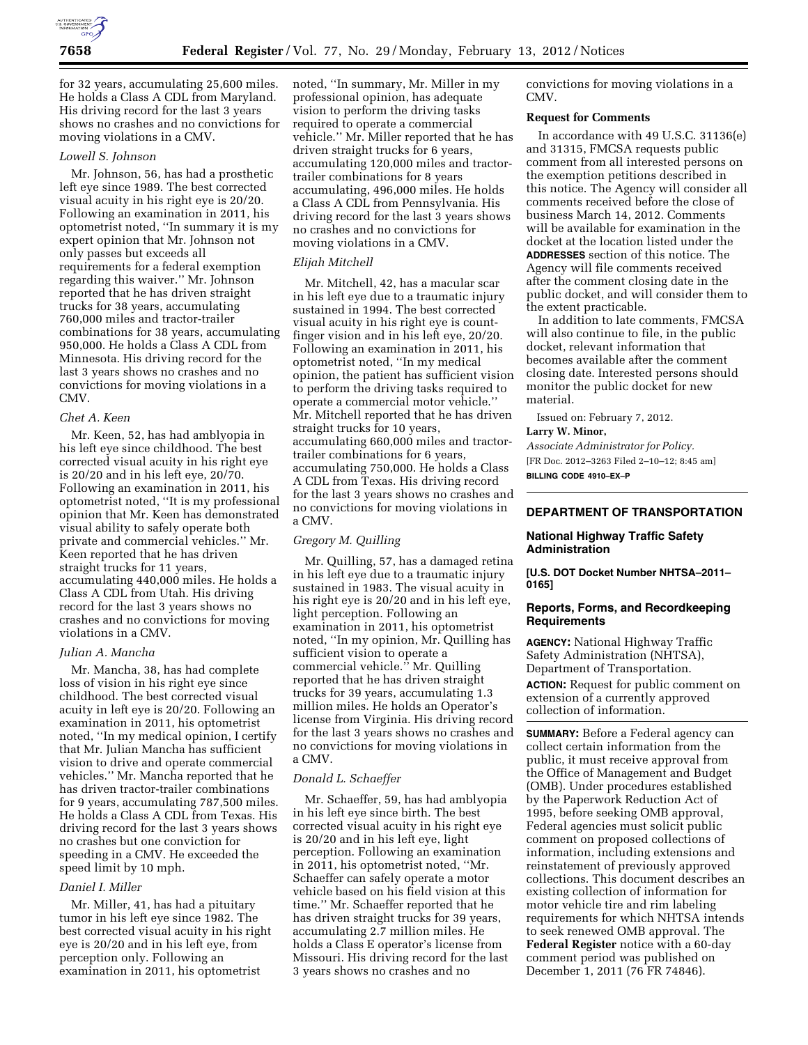

for 32 years, accumulating 25,600 miles. He holds a Class A CDL from Maryland. His driving record for the last 3 years shows no crashes and no convictions for moving violations in a CMV.

# *Lowell S. Johnson*

Mr. Johnson, 56, has had a prosthetic left eye since 1989. The best corrected visual acuity in his right eye is 20/20. Following an examination in 2011, his optometrist noted, ''In summary it is my expert opinion that Mr. Johnson not only passes but exceeds all requirements for a federal exemption regarding this waiver.'' Mr. Johnson reported that he has driven straight trucks for 38 years, accumulating 760,000 miles and tractor-trailer combinations for 38 years, accumulating 950,000. He holds a Class A CDL from Minnesota. His driving record for the last 3 years shows no crashes and no convictions for moving violations in a CMV.

### *Chet A. Keen*

Mr. Keen, 52, has had amblyopia in his left eye since childhood. The best corrected visual acuity in his right eye is 20/20 and in his left eye, 20/70. Following an examination in 2011, his optometrist noted, ''It is my professional opinion that Mr. Keen has demonstrated visual ability to safely operate both private and commercial vehicles.'' Mr. Keen reported that he has driven straight trucks for 11 years, accumulating 440,000 miles. He holds a Class A CDL from Utah. His driving record for the last 3 years shows no crashes and no convictions for moving violations in a CMV.

### *Julian A. Mancha*

Mr. Mancha, 38, has had complete loss of vision in his right eye since childhood. The best corrected visual acuity in left eye is 20/20. Following an examination in 2011, his optometrist noted, ''In my medical opinion, I certify that Mr. Julian Mancha has sufficient vision to drive and operate commercial vehicles.'' Mr. Mancha reported that he has driven tractor-trailer combinations for 9 years, accumulating 787,500 miles. He holds a Class A CDL from Texas. His driving record for the last 3 years shows no crashes but one conviction for speeding in a CMV. He exceeded the speed limit by 10 mph.

### *Daniel I. Miller*

Mr. Miller, 41, has had a pituitary tumor in his left eye since 1982. The best corrected visual acuity in his right eye is 20/20 and in his left eye, from perception only. Following an examination in 2011, his optometrist

noted, ''In summary, Mr. Miller in my professional opinion, has adequate vision to perform the driving tasks required to operate a commercial vehicle.'' Mr. Miller reported that he has driven straight trucks for 6 years, accumulating 120,000 miles and tractortrailer combinations for 8 years accumulating, 496,000 miles. He holds a Class A CDL from Pennsylvania. His driving record for the last 3 years shows no crashes and no convictions for moving violations in a CMV.

### *Elijah Mitchell*

Mr. Mitchell, 42, has a macular scar in his left eye due to a traumatic injury sustained in 1994. The best corrected visual acuity in his right eye is countfinger vision and in his left eye, 20/20. Following an examination in 2011, his optometrist noted, ''In my medical opinion, the patient has sufficient vision to perform the driving tasks required to operate a commercial motor vehicle.'' Mr. Mitchell reported that he has driven straight trucks for 10 years, accumulating 660,000 miles and tractortrailer combinations for 6 years, accumulating 750,000. He holds a Class A CDL from Texas. His driving record for the last 3 years shows no crashes and no convictions for moving violations in a CMV.

### *Gregory M. Quilling*

Mr. Quilling, 57, has a damaged retina in his left eye due to a traumatic injury sustained in 1983. The visual acuity in his right eye is 20/20 and in his left eye, light perception. Following an examination in 2011, his optometrist noted, ''In my opinion, Mr. Quilling has sufficient vision to operate a commercial vehicle.'' Mr. Quilling reported that he has driven straight trucks for 39 years, accumulating 1.3 million miles. He holds an Operator's license from Virginia. His driving record for the last 3 years shows no crashes and no convictions for moving violations in a CMV.

### *Donald L. Schaeffer*

Mr. Schaeffer, 59, has had amblyopia in his left eye since birth. The best corrected visual acuity in his right eye is 20/20 and in his left eye, light perception. Following an examination in 2011, his optometrist noted, ''Mr. Schaeffer can safely operate a motor vehicle based on his field vision at this time.'' Mr. Schaeffer reported that he has driven straight trucks for 39 years, accumulating 2.7 million miles. He holds a Class E operator's license from Missouri. His driving record for the last 3 years shows no crashes and no

convictions for moving violations in a CMV.

### **Request for Comments**

In accordance with 49 U.S.C. 31136(e) and 31315, FMCSA requests public comment from all interested persons on the exemption petitions described in this notice. The Agency will consider all comments received before the close of business March 14, 2012. Comments will be available for examination in the docket at the location listed under the **ADDRESSES** section of this notice. The Agency will file comments received after the comment closing date in the public docket, and will consider them to the extent practicable.

In addition to late comments, FMCSA will also continue to file, in the public docket, relevant information that becomes available after the comment closing date. Interested persons should monitor the public docket for new material.

Issued on: February 7, 2012.

### **Larry W. Minor,**

*Associate Administrator for Policy.*  [FR Doc. 2012–3263 Filed 2–10–12; 8:45 am] **BILLING CODE 4910–EX–P** 

# **DEPARTMENT OF TRANSPORTATION**

# **National Highway Traffic Safety Administration**

**[U.S. DOT Docket Number NHTSA–2011– 0165]** 

### **Reports, Forms, and Recordkeeping Requirements**

**AGENCY:** National Highway Traffic Safety Administration (NHTSA), Department of Transportation.

**ACTION:** Request for public comment on extension of a currently approved collection of information.

**SUMMARY:** Before a Federal agency can collect certain information from the public, it must receive approval from the Office of Management and Budget (OMB). Under procedures established by the Paperwork Reduction Act of 1995, before seeking OMB approval, Federal agencies must solicit public comment on proposed collections of information, including extensions and reinstatement of previously approved collections. This document describes an existing collection of information for motor vehicle tire and rim labeling requirements for which NHTSA intends to seek renewed OMB approval. The **Federal Register** notice with a 60-day comment period was published on December 1, 2011 (76 FR 74846).